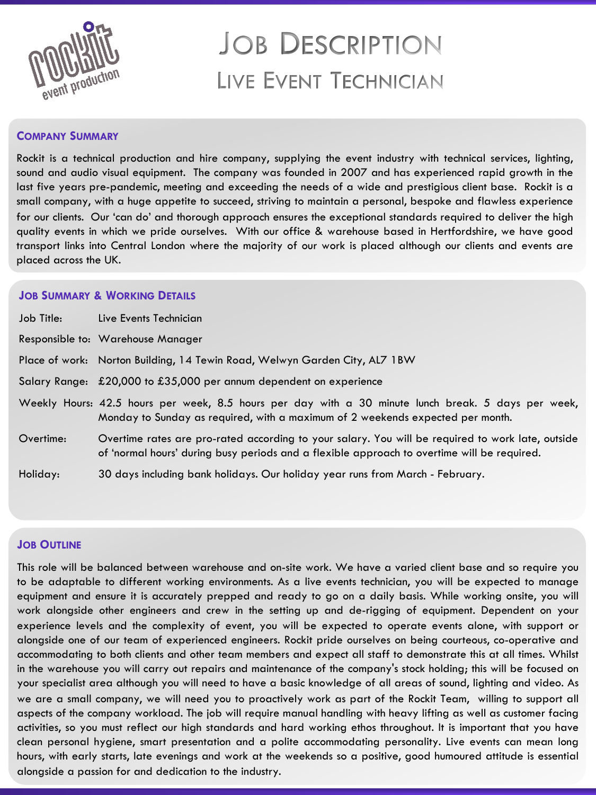

# **JOB DESCRIPTION** LIVE EVENT TECHNICIAN

#### **COMPANY SUMMARY**

Rockit is a technical production and hire company, supplying the event industry with technical services, lighting, sound and audio visual equipment. The company was founded in 2007 and has experienced rapid growth in the last five years pre-pandemic, meeting and exceeding the needs of a wide and prestigious client base. Rockit is a small company, with a huge appetite to succeed, striving to maintain a personal, bespoke and flawless experience for our clients. Our 'can do' and thorough approach ensures the exceptional standards required to deliver the high quality events in which we pride ourselves. With our office & warehouse based in Hertfordshire, we have good transport links into Central London where the majority of our work is placed although our clients and events are placed across the UK.

#### **JOB SUMMARY & WORKING DETAILS**

| Job Title: | Live Events Technician                                                                                                                                                                           |
|------------|--------------------------------------------------------------------------------------------------------------------------------------------------------------------------------------------------|
|            | Responsible to: Warehouse Manager                                                                                                                                                                |
|            | Place of work: Norton Building, 14 Tewin Road, Welwyn Garden City, AL7 1BW                                                                                                                       |
|            | Salary Range: £20,000 to £35,000 per annum dependent on experience                                                                                                                               |
|            | Weekly Hours: 42.5 hours per week, 8.5 hours per day with a 30 minute lunch break. 5 days per week,<br>Monday to Sunday as required, with a maximum of 2 weekends expected per month.            |
| Overtime:  | Overtime rates are pro-rated according to your salary. You will be required to work late, outside<br>of 'normal hours' during busy periods and a flexible approach to overtime will be required. |
| Holiday:   | 30 days including bank holidays. Our holiday year runs from March - February.                                                                                                                    |

### **JOB OUTLINE**

This role will be balanced between warehouse and on-site work. We have a varied client base and so require you to be adaptable to different working environments. As a live events technician, you will be expected to manage equipment and ensure it is accurately prepped and ready to go on a daily basis. While working onsite, you will work alongside other engineers and crew in the setting up and de-rigging of equipment. Dependent on your experience levels and the complexity of event, you will be expected to operate events alone, with support or alongside one of our team of experienced engineers. Rockit pride ourselves on being courteous, co-operative and accommodating to both clients and other team members and expect all staff to demonstrate this at all times. Whilst in the warehouse you will carry out repairs and maintenance of the company's stock holding; this will be focused on your specialist area although you will need to have a basic knowledge of all areas of sound, lighting and video. As we are a small company, we will need you to proactively work as part of the Rockit Team, willing to support all aspects of the company workload. The job will require manual handling with heavy lifting as well as customer facing activities, so you must reflect our high standards and hard working ethos throughout. It is important that you have clean personal hygiene, smart presentation and a polite accommodating personality. Live events can mean long hours, with early starts, late evenings and work at the weekends so a positive, good humoured attitude is essential alongside a passion for and dedication to the industry.